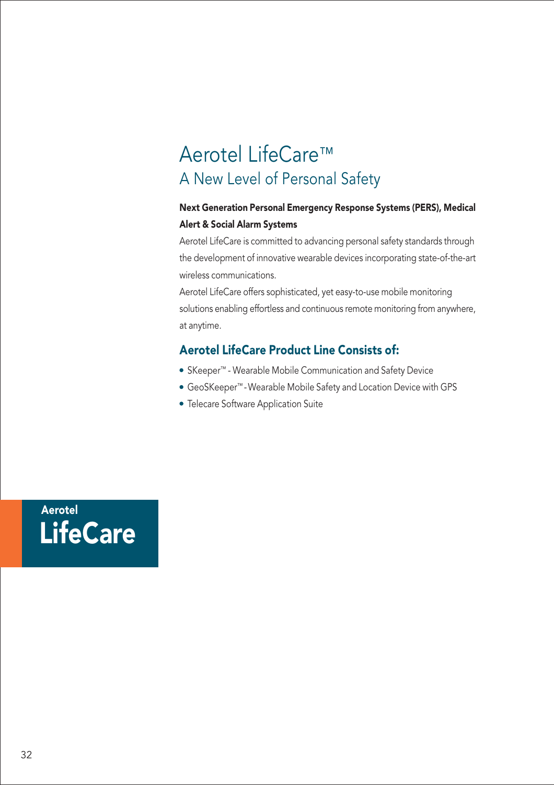# Aerotel LifeCare™ A New Level of Personal Safety

#### Next Generation Personal Emergency Response Systems (PERS), Medical Alert & Social Alarm Systems

Aerotel LifeCare is committed to advancing personal safety standards through the development of innovative wearable devices incorporating state-of-the-art wireless communications.

Aerotel LifeCare offers sophisticated, yet easy-to-use mobile monitoring solutions enabling effortless and continuous remote monitoring from anywhere, at anytime.

## Aerotel LifeCare Product Line Consists of:

- SKeeper™ Wearable Mobile Communication and Safety Device
- GeoSKeeper™ -Wearable Mobile Safety and Location Device with GPS
- Telecare Software Application Suite

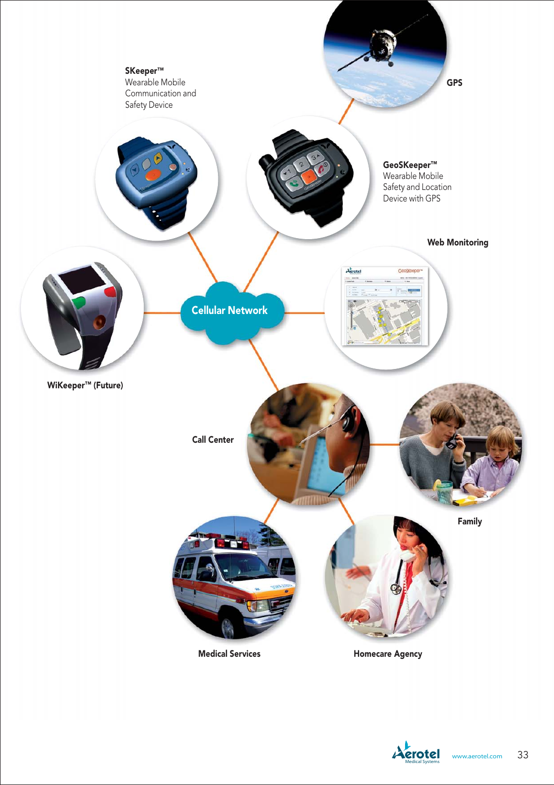

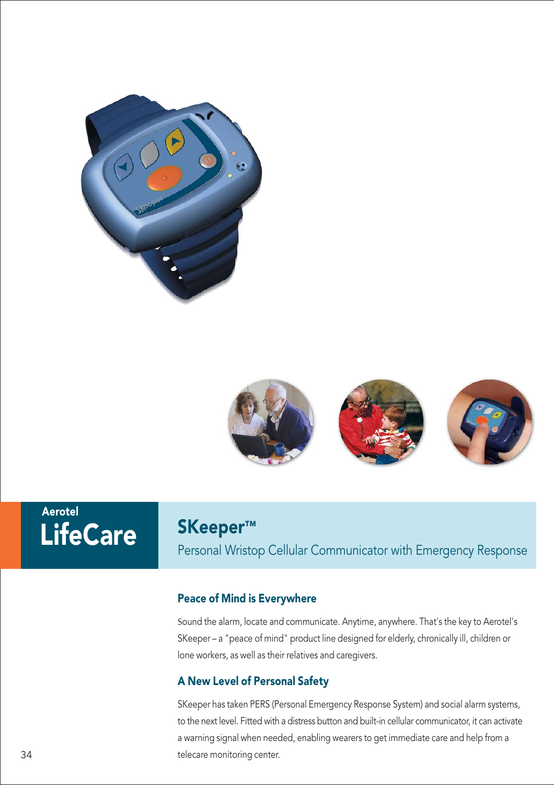



# Aerotel

## SKeeper™

LifeCare SKeeper™<br>Personal Wristop Cellular Communicator with Emergency Response

### Peace of Mind is Everywhere

Sound the alarm, locate and communicate. Anytime, anywhere. That's the key to Aerotel's SKeeper – a "peace of mind" product line designed for elderly, chronically ill, children or lone workers, as well as their relatives and caregivers.

## A New Level of Personal Safety

SKeeper has taken PERS (Personal Emergency Response System) and social alarm systems, to the next level. Fitted with a distress button and built-in cellular communicator, it can activate a warning signal when needed, enabling wearers to get immediate care and help from a 34 telecare monitoring center.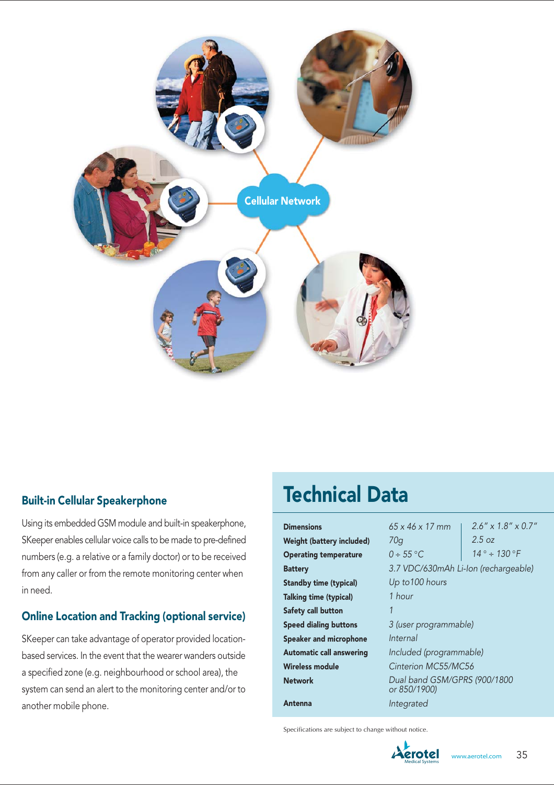

#### Built-in Cellular Speakerphone

Using its embedded GSM module and built-in speakerphone, SKeeper enables cellular voice calls to be made to pre-defined numbers (e.g. a relative or a family doctor) or to be received from any caller or from the remote monitoring center when in need.

#### Online Location and Tracking (optional service)

SKeeper can take advantage of operator provided locationbased services. In the event that the wearer wanders outside a specified zone (e.g. neighbourhood or school area), the system can send an alert to the monitoring center and/or to another mobile phone.

# Technical Data

| <b>Dimensions</b>                | $65 \times 46 \times 17$ mm                  | $2.6'' \times 1.8'' \times 0.7''$ |
|----------------------------------|----------------------------------------------|-----------------------------------|
| <b>Weight (battery included)</b> | 70q                                          | 2.5 oz                            |
| <b>Operating temperature</b>     | $0 \div 55^{\circ}$ C                        | $14^{\circ} \div 130^{\circ}F$    |
| <b>Battery</b>                   | 3.7 VDC/630mAh Li-Ion (rechargeable)         |                                   |
| <b>Standby time (typical)</b>    | Up to 100 hours                              |                                   |
| Talking time (typical)           | 1 hour                                       |                                   |
| Safety call button               | 1                                            |                                   |
| <b>Speed dialing buttons</b>     | 3 (user programmable)                        |                                   |
| <b>Speaker and microphone</b>    | Internal                                     |                                   |
| <b>Automatic call answering</b>  | Included (programmable)                      |                                   |
| Wireless module                  | Cinterion MC55/MC56                          |                                   |
| <b>Network</b>                   | Dual band GSM/GPRS (900/1800<br>or 850/1900) |                                   |
| Antenna                          | Integrated                                   |                                   |

Specifications are subject to change without notice.

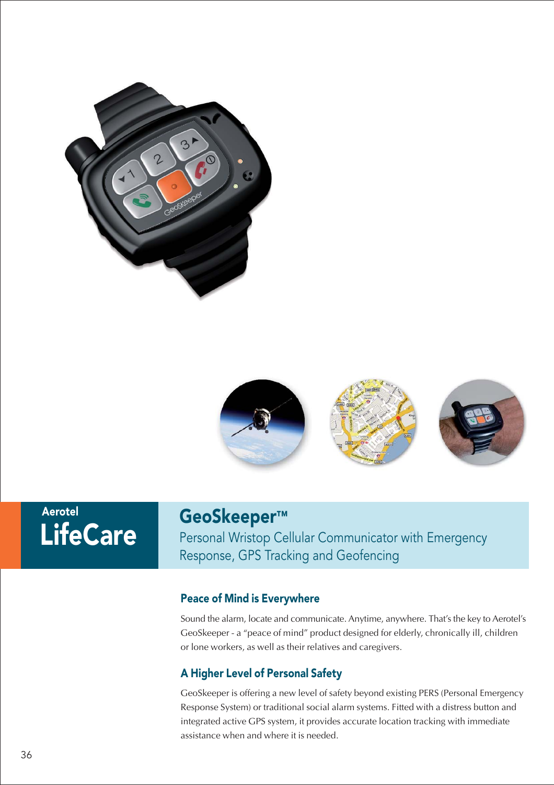



# **LifeCare** Aerotel

## GeoSkeeper™

Personal Wristop Cellular Communicator with Emergency Response, GPS Tracking and Geofencing

#### Peace of Mind is Everywhere

Sound the alarm, locate and communicate. Anytime, anywhere. That's the key to Aerotel's GeoSkeeper - a "peace of mind" product designed for elderly, chronically ill, children or lone workers, as well as their relatives and caregivers.

#### A Higher Level of Personal Safety

GeoSkeeper is offering a new level of safety beyond existing PERS (Personal Emergency Response System) or traditional social alarm systems. Fitted with a distress button and integrated active GPS system, it provides accurate location tracking with immediate assistance when and where it is needed.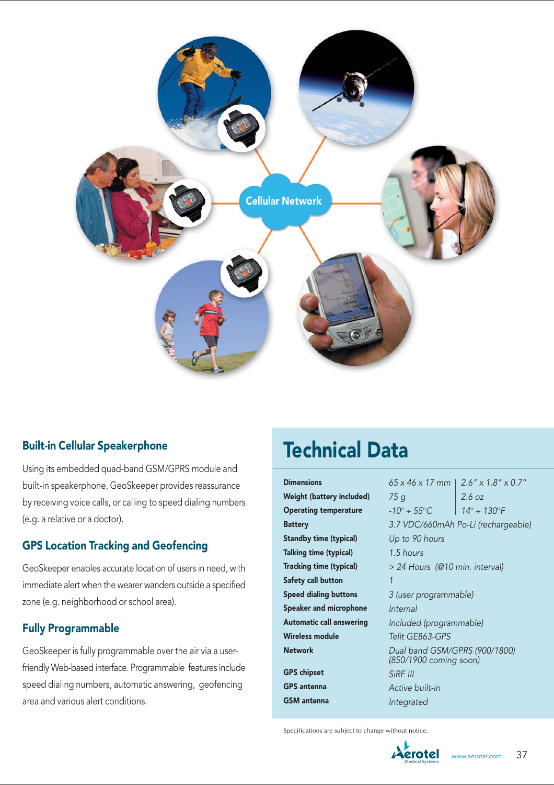

#### Built-in Cellular Speakerphone

Using its embedded quad-band GSM/GPRS module and built-in speakerphone, GeoSkeeper provides reassurance by receiving voice calls, or calling to speed dialing numbers (e.g. a relative or a doctor).

### GPS Location Tracking and Geofencing

GeoSkeeper enables accurate location of users in need, with immediate alert when the wearer wanders outside a specified zone (e.g. neighborhood or school area).

#### Fully Programmable

GeoSkeeper is fully programmable over the air via a userfriendly Web-based interface. Programmable features include speed dialing numbers, automatic answering, geofencing area and various alert conditions.

# Technical Data

**Dimensions** Weight (battery included) Operating temperature **Battery** Standby time (typical) Talking time (typical) Tracking time (typical) Safety call button Speed dialing buttons Speaker and microphone Automatic call answering Wireless module Network GPS chipset GPS antenna GSM antenna

65 x 46 x 17 mm 2.6" x 1.8" x 0.7"  $75a$  $-10^{\circ} \div 55^{\circ}$ C 3.7 VDC/660mAh Po-Li (rechargeable) Up to 90 hours 1.5 hours > 24 Hours (@10 min. interval) 1 3 (user programmable) Internal Included (programmable) Telit GE863-GPS Dual band GSM/GPRS (900/1800) (850/1900 coming soon) SiRF III Active built-in Integrated 2.6 oz  $14^{\circ} \div 130^{\circ}F$ 

Specifications are subject to change without notice.

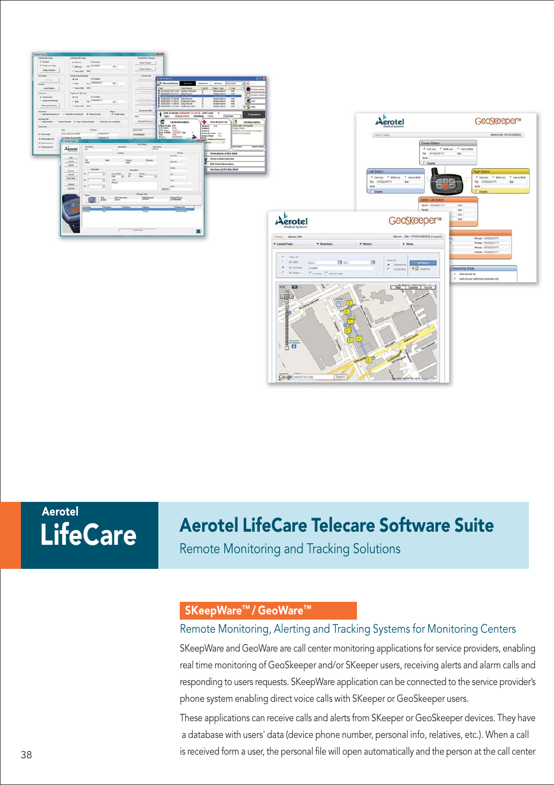

**LifeCare** Aerotel

# Aerotel LifeCare Telecare Software Suite

Remote Monitoring and Tracking Solutions

## SKeepWare™ / GeoWare™

#### Remote Monitoring, Alerting and Tracking Systems for Monitoring Centers

SKeepWare and GeoWare are call center monitoring applications for service providers, enabling real time monitoring of GeoSkeeper and/or SKeeper users, receiving alerts and alarm calls and responding to users requests. SKeepWare application can be connected to the service provider's phone system enabling direct voice calls with SKeeper or GeoSkeeper users.

These applications can receive calls and alerts from SKeeper or GeoSkeeper devices. They have a database with users' data (device phone number, personal info, relatives, etc.). When a call is received form a user, the personal file will open automatically and the person at the call center